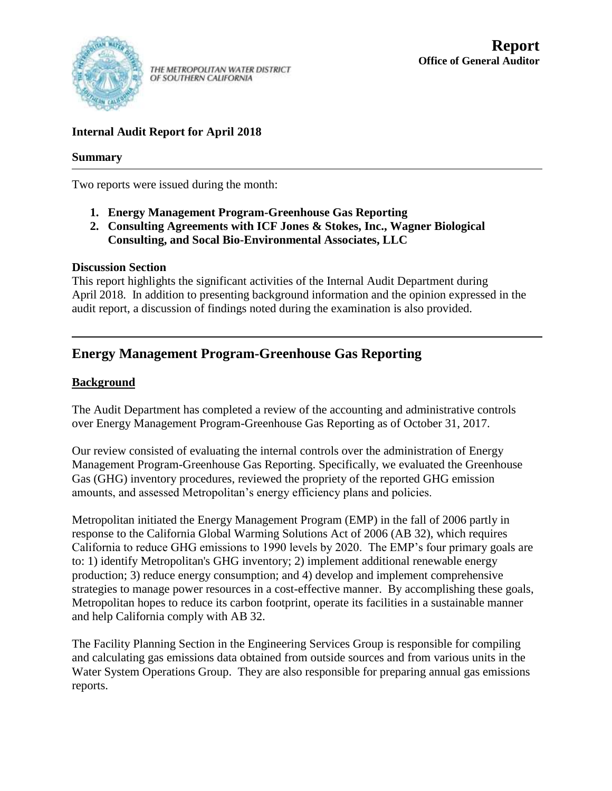

THE METROPOLITAN WATER DISTRICT OF SOUTHERN CALIFORNIA

# **Internal Audit Report for April 2018**

# **Summary**

Two reports were issued during the month:

- **1. Energy Management Program-Greenhouse Gas Reporting**
- **2. Consulting Agreements with ICF Jones & Stokes, Inc., Wagner Biological Consulting, and Socal Bio-Environmental Associates, LLC**

# **Discussion Section**

This report highlights the significant activities of the Internal Audit Department during April 2018. In addition to presenting background information and the opinion expressed in the audit report, a discussion of findings noted during the examination is also provided.

# **Energy Management Program-Greenhouse Gas Reporting**

# **Background**

The Audit Department has completed a review of the accounting and administrative controls over Energy Management Program-Greenhouse Gas Reporting as of October 31, 2017.

Our review consisted of evaluating the internal controls over the administration of Energy Management Program-Greenhouse Gas Reporting. Specifically, we evaluated the Greenhouse Gas (GHG) inventory procedures, reviewed the propriety of the reported GHG emission amounts, and assessed Metropolitan's energy efficiency plans and policies.

Metropolitan initiated the Energy Management Program (EMP) in the fall of 2006 partly in response to the California Global Warming Solutions Act of 2006 (AB 32), which requires California to reduce GHG emissions to 1990 levels by 2020. The EMP's four primary goals are to: 1) identify Metropolitan's GHG inventory; 2) implement additional renewable energy production; 3) reduce energy consumption; and 4) develop and implement comprehensive strategies to manage power resources in a cost-effective manner. By accomplishing these goals, Metropolitan hopes to reduce its carbon footprint, operate its facilities in a sustainable manner and help California comply with AB 32.

The Facility Planning Section in the Engineering Services Group is responsible for compiling and calculating gas emissions data obtained from outside sources and from various units in the Water System Operations Group. They are also responsible for preparing annual gas emissions reports.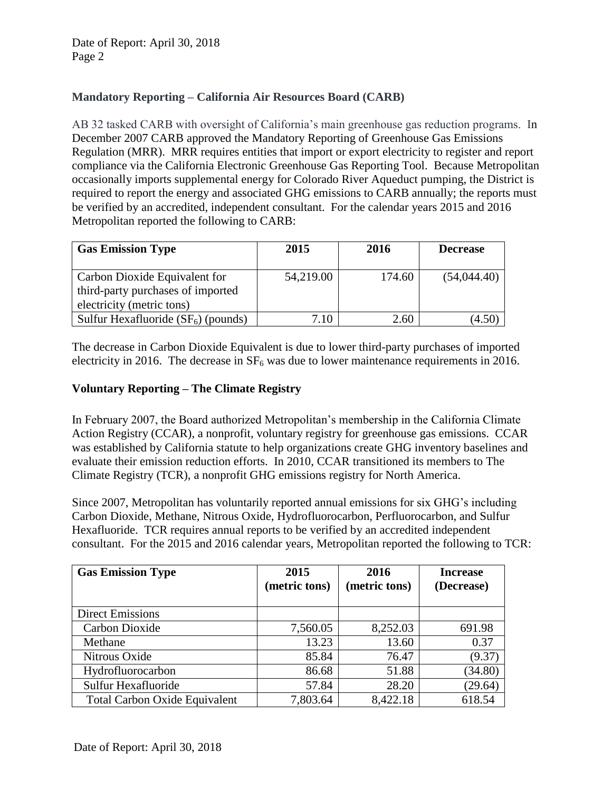# **Mandatory Reporting – California Air Resources Board (CARB)**

AB 32 tasked CARB with oversight of California's main greenhouse gas reduction programs. In December 2007 CARB approved the Mandatory Reporting of Greenhouse Gas Emissions Regulation (MRR). MRR requires entities that import or export electricity to register and report compliance via the California Electronic Greenhouse Gas Reporting Tool. Because Metropolitan occasionally imports supplemental energy for Colorado River Aqueduct pumping, the District is required to report the energy and associated GHG emissions to CARB annually; the reports must be verified by an accredited, independent consultant. For the calendar years 2015 and 2016 Metropolitan reported the following to CARB:

| <b>Gas Emission Type</b>                                                                        | 2015      | 2016   | <b>Decrease</b> |
|-------------------------------------------------------------------------------------------------|-----------|--------|-----------------|
| Carbon Dioxide Equivalent for<br>third-party purchases of imported<br>electricity (metric tons) | 54,219.00 | 174.60 | (54,044.40)     |
| Sulfur Hexafluoride $(SF_6)$ (pounds)                                                           | 7.10      | 2.60   | 4.50            |

The decrease in Carbon Dioxide Equivalent is due to lower third-party purchases of imported electricity in 2016. The decrease in  $SF<sub>6</sub>$  was due to lower maintenance requirements in 2016.

## **Voluntary Reporting – The Climate Registry**

In February 2007, the Board authorized Metropolitan's membership in the California Climate Action Registry (CCAR), a nonprofit, voluntary registry for greenhouse gas emissions. CCAR was established by California statute to help organizations create GHG inventory baselines and evaluate their emission reduction efforts. In 2010, CCAR transitioned its members to The Climate Registry (TCR), a nonprofit GHG emissions registry for North America.

Since 2007, Metropolitan has voluntarily reported annual emissions for six GHG's including Carbon Dioxide, Methane, Nitrous Oxide, Hydrofluorocarbon, Perfluorocarbon, and Sulfur Hexafluoride. TCR requires annual reports to be verified by an accredited independent consultant. For the 2015 and 2016 calendar years, Metropolitan reported the following to TCR:

| <b>Gas Emission Type</b>             | 2015<br>(metric tons) | 2016<br>(metric tons) | <b>Increase</b><br>(Decrease) |
|--------------------------------------|-----------------------|-----------------------|-------------------------------|
|                                      |                       |                       |                               |
| <b>Direct Emissions</b>              |                       |                       |                               |
| Carbon Dioxide                       | 7,560.05              | 8,252.03              | 691.98                        |
| Methane                              | 13.23                 | 13.60                 | 0.37                          |
| Nitrous Oxide                        | 85.84                 | 76.47                 | (9.37)                        |
| Hydrofluorocarbon                    | 86.68                 | 51.88                 | (34.80)                       |
| Sulfur Hexafluoride                  | 57.84                 | 28.20                 | (29.64)                       |
| <b>Total Carbon Oxide Equivalent</b> | 7,803.64              | 8,422.18              | 618.54                        |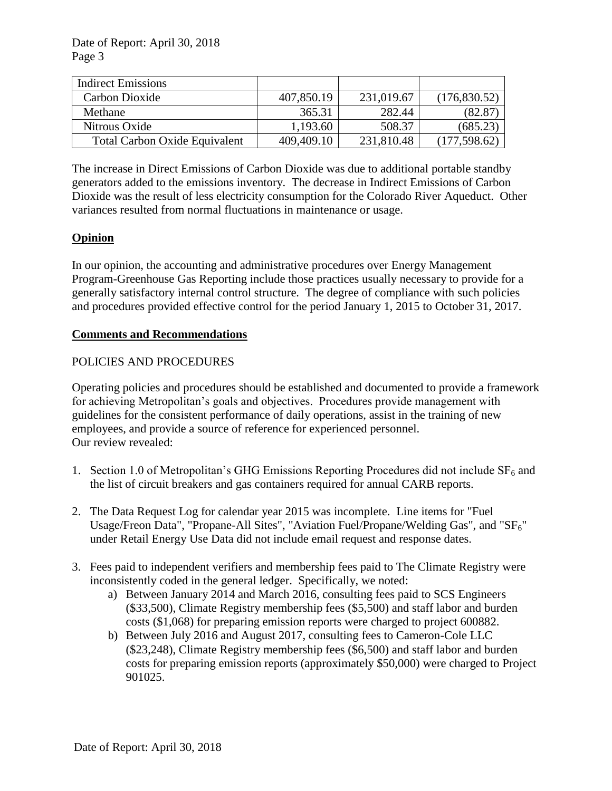| <b>Indirect Emissions</b>     |            |            |               |
|-------------------------------|------------|------------|---------------|
| Carbon Dioxide                | 407,850.19 | 231,019.67 | (176,830.52)  |
| Methane                       | 365.31     | 282.44     | (82.87)       |
| Nitrous Oxide                 | 1,193.60   | 508.37     | (685.23)      |
| Total Carbon Oxide Equivalent | 409,409.10 | 231,810.48 | (177, 598.62) |

The increase in Direct Emissions of Carbon Dioxide was due to additional portable standby generators added to the emissions inventory. The decrease in Indirect Emissions of Carbon Dioxide was the result of less electricity consumption for the Colorado River Aqueduct. Other variances resulted from normal fluctuations in maintenance or usage.

## **Opinion**

In our opinion, the accounting and administrative procedures over Energy Management Program-Greenhouse Gas Reporting include those practices usually necessary to provide for a generally satisfactory internal control structure. The degree of compliance with such policies and procedures provided effective control for the period January 1, 2015 to October 31, 2017.

#### **Comments and Recommendations**

## POLICIES AND PROCEDURES

Operating policies and procedures should be established and documented to provide a framework for achieving Metropolitan's goals and objectives. Procedures provide management with guidelines for the consistent performance of daily operations, assist in the training of new employees, and provide a source of reference for experienced personnel. Our review revealed:

- 1. Section 1.0 of Metropolitan's GHG Emissions Reporting Procedures did not include  $SF<sub>6</sub>$  and the list of circuit breakers and gas containers required for annual CARB reports.
- 2. The Data Request Log for calendar year 2015 was incomplete. Line items for "Fuel Usage/Freon Data", "Propane-All Sites", "Aviation Fuel/Propane/Welding Gas", and "SF<sub>6</sub>" under Retail Energy Use Data did not include email request and response dates.
- 3. Fees paid to independent verifiers and membership fees paid to The Climate Registry were inconsistently coded in the general ledger. Specifically, we noted:
	- a) Between January 2014 and March 2016, consulting fees paid to SCS Engineers (\$33,500), Climate Registry membership fees (\$5,500) and staff labor and burden costs (\$1,068) for preparing emission reports were charged to project 600882.
	- b) Between July 2016 and August 2017, consulting fees to Cameron-Cole LLC (\$23,248), Climate Registry membership fees (\$6,500) and staff labor and burden costs for preparing emission reports (approximately \$50,000) were charged to Project 901025.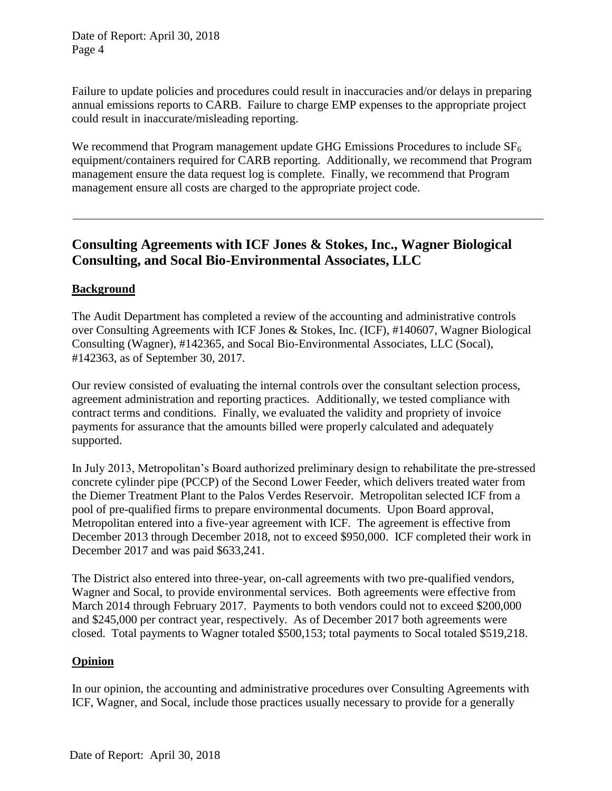Date of Report: April 30, 2018 Page 4

Failure to update policies and procedures could result in inaccuracies and/or delays in preparing annual emissions reports to CARB. Failure to charge EMP expenses to the appropriate project could result in inaccurate/misleading reporting.

We recommend that Program management update GHG Emissions Procedures to include  $SF<sub>6</sub>$ equipment/containers required for CARB reporting. Additionally, we recommend that Program management ensure the data request log is complete. Finally, we recommend that Program management ensure all costs are charged to the appropriate project code.

# **Consulting Agreements with ICF Jones & Stokes, Inc., Wagner Biological Consulting, and Socal Bio-Environmental Associates, LLC**

## **Background**

The Audit Department has completed a review of the accounting and administrative controls over Consulting Agreements with ICF Jones & Stokes, Inc. (ICF), #140607, Wagner Biological Consulting (Wagner), #142365, and Socal Bio-Environmental Associates, LLC (Socal), #142363, as of September 30, 2017.

Our review consisted of evaluating the internal controls over the consultant selection process, agreement administration and reporting practices. Additionally, we tested compliance with contract terms and conditions. Finally, we evaluated the validity and propriety of invoice payments for assurance that the amounts billed were properly calculated and adequately supported.

In July 2013, Metropolitan's Board authorized preliminary design to rehabilitate the pre-stressed concrete cylinder pipe (PCCP) of the Second Lower Feeder, which delivers treated water from the Diemer Treatment Plant to the Palos Verdes Reservoir. Metropolitan selected ICF from a pool of pre-qualified firms to prepare environmental documents. Upon Board approval, Metropolitan entered into a five-year agreement with ICF. The agreement is effective from December 2013 through December 2018, not to exceed \$950,000. ICF completed their work in December 2017 and was paid \$633,241.

The District also entered into three-year, on-call agreements with two pre-qualified vendors, Wagner and Socal, to provide environmental services. Both agreements were effective from March 2014 through February 2017. Payments to both vendors could not to exceed \$200,000 and \$245,000 per contract year, respectively. As of December 2017 both agreements were closed. Total payments to Wagner totaled \$500,153; total payments to Socal totaled \$519,218.

#### **Opinion**

In our opinion, the accounting and administrative procedures over Consulting Agreements with ICF, Wagner, and Socal, include those practices usually necessary to provide for a generally